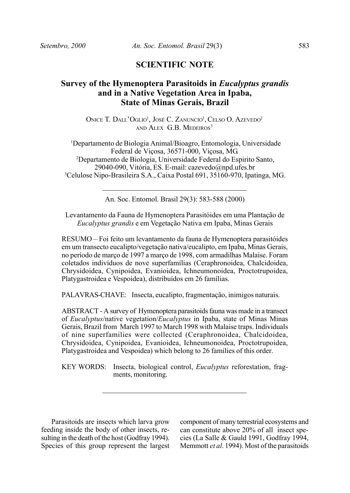## **SCIENTIFIC NOTE**

## **Survey of the Hymenoptera Parasitoids in** *Eucalyptus grandis* **and in a Native Vegetation Area in Ipaba, State of Minas Gerais, Brazil**

ONICE T. DALL'OGLIO<sup>1</sup>, JOSÉ C. ZANUNCIO<sup>1</sup>, CELSO O. AZEVEDO<sup>2</sup> AND ALEX G.B. MEDEIROS<sup>3</sup>

<sup>1</sup>Departamento de Biologia Animal/Bioagro, Entomologia, Universidade Federal de Viçosa, 36571-000, Viçosa, MG. <sup>2</sup>Departamento de Biologia, Universidade Federal do Espirito Santo, 29040-090, Vitória, ES. E-mail: cazevedo@npd.ufes.br <sup>3</sup>Celulose Nipo-Brasileira S.A., Caixa Postal 691, 35160-970, Ipatinga, MG.

An. Soc. Entomol. Brasil 29(3): 583-588 (2000)

Levantamento da Fauna de Hymenoptera Parasitóides em uma Plantação de *Eucalyptus grandis* e em Vegetação Nativa em Ipaba, Minas Gerais

RESUMO – Foi feito um levantamento da fauna de Hymenoptera parasitóides em um transecto eucalipto/vegetação nativa/eucalipto, em Ipaba, Minas Gerais, no período de março de 1997 a março de 1998, com armadilhas Malaise. Foram coletados indivíduos de nove superfamílias (Ceraphronoidea, Chalcidoidea, Chrysidoidea, Cynipoidea, Evanioidea, Ichneumonoidea, Proctotrupoidea, Platygastroidea e Vespoidea), distribuídos em 26 famílias.

PALAVRAS-CHAVE: Insecta, eucalipto, fragmentação, inimigos naturais.

ABSTRACT - A survey of Hymenoptera parasitoids fauna was made in a transect of *Eucalyptus*/native vegetation/*Eucalyptus* in Ipaba, state of Minas Minas Gerais, Brazil from March 1997 to March 1998 with Malaise traps. Individuals of nine superfamilies were collected (Ceraphronoidea, Chalcidoidea, Chrysidoidea, Cynipoidea, Evanioidea, Ichneumonoidea, Proctotrupoidea, Platygastroidea and Vespoidea) which belong to 26 families of this order.

KEY WORDS: Insecta, biological control, *Eucalyptus* reforestation, fragments, monitoring.

Parasitoids are insects which larva grow feeding inside the body of other insects, resulting in the death of the host (Godfray 1994). Species of this group represent the largest component of many terrestrial ecosystems and can constitute above 20% of all insect species (La Salle & Gauld 1991, Godfray 1994, Memmott *et al*. 1994). Most of the parasitoids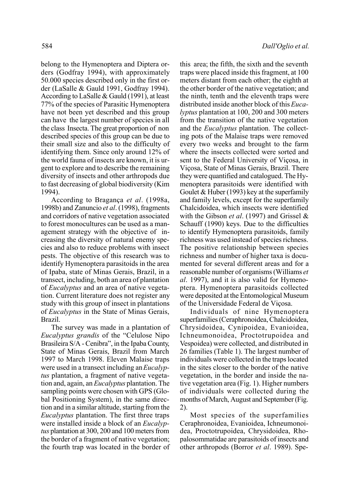belong to the Hymenoptera and Diptera orders (Godfray 1994), with approximately 50.000 species described only in the first order (LaSalle & Gauld 1991, Godfray 1994). According to LaSalle & Gauld (1991), at least 77% of the species of Parasitic Hymenoptera have not been yet described and this group can have the largest number of species in all the class Insecta. The great proportion of non described species of this group can be due to their small size and also to the difficulty of identifying them. Since only around 12% of the world fauna of insects are known, it is urgent to explore and to describe the remaining diversity of insects and other arthropods due to fast decreasing of global biodiversity (Kim 1994).

According to Bragança *et al*. (1998a, 1998b) and Zanuncio *et al*. (1998), fragments and corridors of native vegetation associated to forest monocultures can be used as a management strategy with the objective of increasing the diversity of natural enemy species and also to reduce problems with insect pests. The objective of this research was to identify Hymenoptera parasitoids in the area of Ipaba, state of Minas Gerais, Brazil, in a transect, including, both an area of plantation of *Eucalyptus* and an area of native vegetation. Current literature does not register any study with this group of insect in plantations of *Eucalyptus* in the State of Minas Gerais, Brazil.

The survey was made in a plantation of *Eucalyptus grandis* of the "Celulose Nipo Brasileira S/A - Cenibra", in the Ipaba County, State of Minas Gerais, Brazil from March 1997 to March 1998. Eleven Malaise traps were used in a transect including an *Eucalyptus* plantation, a fragment of native vegetation and, again, an *Eucalyptus* plantation. The sampling points were chosen with GPS (Global Positioning System), in the same direction and in a similar altitude, starting from the *Eucalyptus* plantation. The first three traps were installed inside a block of an *Eucalyptus* plantation at 300, 200 and 100 meters from the border of a fragment of native vegetation; the fourth trap was located in the border of

this area; the fifth, the sixth and the seventh traps were placed inside this fragment, at 100 meters distant from each other; the eighth at the other border of the native vegetation; and the ninth, tenth and the eleventh traps were distributed inside another block of this *Eucalyptus* plantation at 100, 200 and 300 meters from the transition of the native vegetation and the *Eucalyptus* plantation*.* The collecting pots of the Malaise traps were removed every two weeks and brought to the farm where the insects collected were sorted and sent to the Federal University of Viçosa, in Viçosa, State of Minas Gerais, Brazil. There they were quantified and catalogued. The Hymenoptera parasitoids were identified with Goulet  $& Huber (1993)$  key at the superfamily and family levels, except for the superfamily Chalcidoidea, which insects were identified with the Gibson *et al*. (1997) and Grissel & Schauff (1990) keys. Due to the difficulties to identify Hymenoptera parasitoids, family richness was used instead of species richness. The positive relationship between species richness and number of higher taxa is documented for several different areas and for a reasonable number of organisms (Williams *et al*. 1997), and it is also valid for Hymenoptera. Hymenoptera parasitoids collected were deposited at the Entomological Museum of the Universidade Federal de Viçosa.

Individuals of nine Hymenoptera superfamilies (Ceraphronoidea, Chalcidoidea, Chrysidoidea, Cynipoidea, Evanioidea, Ichneumonoidea, Proctotrupoidea and Vespoidea) were collected, and distributed in 26 families (Table 1). The largest number of individuals were collected in the traps located in the sites closer to the border of the native vegetation, in the border and inside the native vegetation area (Fig. 1). Higher numbers of individuals were collected during the months of March, August and September (Fig. 2).

Most species of the superfamilies Ceraphronoidea, Evanioidea, Ichneumonoidea, Proctotrupoidea, Chrysidoidea, Rhopalosommatidae are parasitoids of insects and other arthropods (Borror *et al*. 1989). Spe-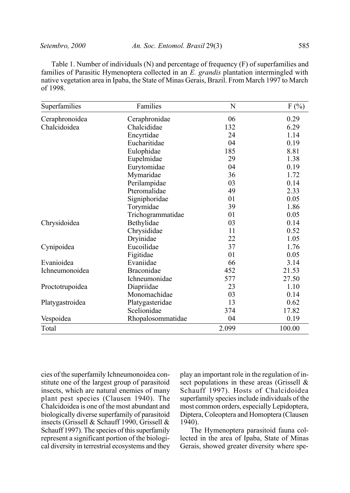Table 1. Number of individuals (N) and percentage of frequency (F) of superfamilies and families of Parasitic Hymenoptera collected in an *E. grandis* plantation intermingled with native vegetation area in Ipaba, the State of Minas Gerais, Brazil. From March 1997 to March of 1998.

| Superfamilies   | Families          | N     | $F(\%)$ |
|-----------------|-------------------|-------|---------|
| Ceraphronoidea  | Ceraphronidae     | 06    | 0.29    |
| Chalcidoidea    | Chalcididae       | 132   | 6.29    |
|                 | Encyrtidae        | 24    | 1.14    |
|                 | Eucharitidae      | 04    | 0.19    |
|                 | Eulophidae        | 185   | 8.81    |
|                 | Eupelmidae        | 29    | 1.38    |
|                 | Eurytomidae       | 04    | 0.19    |
|                 | Mymaridae         | 36    | 1.72    |
|                 | Perilampidae      | 03    | 0.14    |
|                 | Pteromalidae      | 49    | 2.33    |
|                 | Signiphoridae     | 01    | 0.05    |
|                 | Torymidae         | 39    | 1.86    |
|                 | Trichogrammatidae | 01    | 0.05    |
| Chrysidoidea    | Bethylidae        | 03    | 0.14    |
|                 | Chrysididae       | 11    | 0.52    |
|                 | Dryinidae         | 22    | 1.05    |
| Cynipoidea      | Eucoilidae        | 37    | 1.76    |
|                 | Figitidae         | 01    | 0.05    |
| Evanioidea      | Evaniidae         | 66    | 3.14    |
| Ichneumonoidea  | Braconidae        | 452   | 21.53   |
|                 | Ichneumonidae     | 577   | 27.50   |
| Proctotrupoidea | Diapriidae        | 23    | 1.10    |
|                 | Monomachidae      | 03    | 0.14    |
| Platygastroidea | Platygasteridae   | 13    | 0.62    |
|                 | Scelionidae       | 374   | 17.82   |
| Vespoidea       | Rhopalosommatidae | 04    | 0.19    |
| Total           |                   | 2.099 | 100.00  |

cies of the superfamily Ichneumonoidea constitute one of the largest group of parasitoid insects, which are natural enemies of many plant pest species (Clausen 1940). The Chalcidoidea is one of the most abundant and biologically diverse superfamily of parasitoid insects (Grissell & Schauff 1990, Grissell & Schauff 1997). The species of this superfamily represent a significant portion of the biological diversity in terrestrial ecosystems and they play an important role in the regulation of insect populations in these areas (Grissell & Schauff 1997). Hosts of Chalcidoidea superfamily species include individuals of the most common orders, especially Lepidoptera, Diptera, Coleoptera and Homoptera (Clausen 1940).

The Hymenoptera parasitoid fauna collected in the area of Ipaba, State of Minas Gerais, showed greater diversity where spe-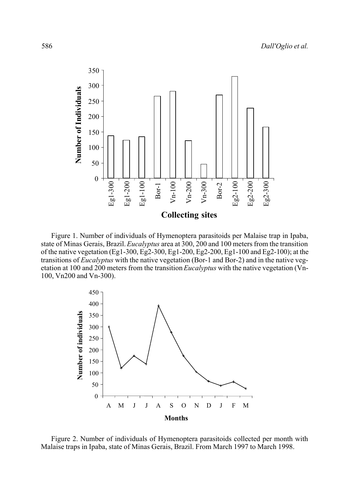

Figure 1. Number of individuals of Hymenoptera parasitoids per Malaise trap in Ipaba, state of Minas Gerais, Brazil. *Eucalyptus* area at 300, 200 and 100 meters from the transition of the native vegetation (Eg1-300, Eg2-300, Eg1-200, Eg2-200, Eg1-100 and Eg2-100); at the transitions of *Eucalyptus* with the native vegetation (Bor-1 and Bor-2) and in the native vegetation at 100 and 200 meters from the transition *Eucalyptus* with the native vegetation (Vn-100, Vn200 and Vn-300).



Figure 2. Number of individuals of Hymenoptera parasitoids collected per month with Malaise traps in Ipaba, state of Minas Gerais, Brazil. From March 1997 to March 1998.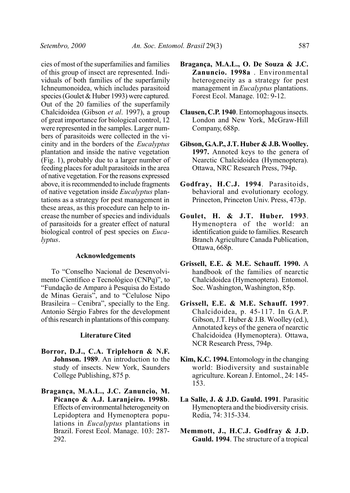cies of most of the superfamilies and families of this group of insect are represented. Individuals of both families of the superfamily Ichneumonoidea, which includes parasitoid species (Goulet & Huber 1993) were captured. Out of the 20 families of the superfamily Chalcidoidea (Gibson *et al*. 1997), a group of great importance for biological control, 12 were represented in the samples. Larger numbers of parasitoids were collected in the vicinity and in the borders of the *Eucalyptus* plantation and inside the native vegetation (Fig. 1), probably due to a larger number of feeding places for adult parasitoids in the area of native vegetation. For the reasons expressed above, it is recommended to include fragments of native vegetation inside *Eucalyptus* plantations as a strategy for pest management in these areas, as this procedure can help to increase the number of species and individuals of parasitoids for a greater effect of natural biological control of pest species on *Eucalyptus*.

## **Acknowledgements**

To "Conselho Nacional de Desenvolvimento Científico e Tecnológico (CNPq)", to "Fundação de Amparo à Pesquisa do Estado de Minas Gerais", and to "Celulose Nipo Brasileira – Cenibra", specially to the Eng. Antonio Sérgio Fabres for the development of this research in plantations of this company.

## **Literature Cited**

- **Borror, D.J., C.A. Triplehorn & N.F. Johnson. 1989**. An introduction to the study of insects. New York, Saunders College Publishing, 875 p.
- **Bragança, M.A.L., J.C. Zanuncio, M. Picanço & A.J. Laranjeiro. 1998b**. Effects of environmental heterogeneity on Lepidoptera and Hymenoptera populations in *Eucalyptus* plantations in Brazil. Forest Ecol. Manage. 103: 287- 292.
- **Bragança, M.A.L., O. De Souza & J.C. Zanuncio. 1998a** . Environmental heterogeneity as a strategy for pest management in *Eucalyptus* plantations. Forest Ecol. Manage. 102: 9-12.
- **Clausen, C.P. 1940**. Entomophagous insects. London and New York, McGraw-Hill Company, 688p.
- **Gibson, G.A.P., J.T. Huber & J.B. Woolley. 1997.** Annoted keys to the genera of Nearctic Chalcidoidea (Hymenoptera). Ottawa, NRC Research Press, 794p.
- **Godfray, H.C.J. 1994**. Parasitoids, behavioral and evolutionary ecology. Princeton, Princeton Univ. Press, 473p.
- **Goulet, H. & J.T. Huber. 1993**. Hymenoptera of the world: an identification guide to families. Research Branch Agriculture Canada Publication, Ottawa, 668p.
- **Grissell, E.E. & M.E. Schauff. 1990.** A handbook of the families of nearctic Chalcidoidea (Hymenoptera). Entomol. Soc. Washington, Washington, 85p.
- **Grissell, E.E. & M.E. Schauff. 1997**. Chalcidoidea, p. 45-117. In G.A.P. Gibson, J.T. Huber & J.B. Woolley (ed.), Annotated keys of the genera of nearctic Chalcidoidea (Hymenoptera). Ottawa, NCR Research Press, 794p.
- **Kim, K.C. 1994.** Entomology in the changing world: Biodiversity and sustainable agriculture. Korean J. Entomol., 24: 145- 153.
- **La Salle, J. & J.D. Gauld. 1991**. Parasitic Hymenoptera and the biodiversity crisis. Redia, 74: 315-334.
- **Memmott, J., H.C.J. Godfray & J.D. Gauld. 1994**. The structure of a tropical